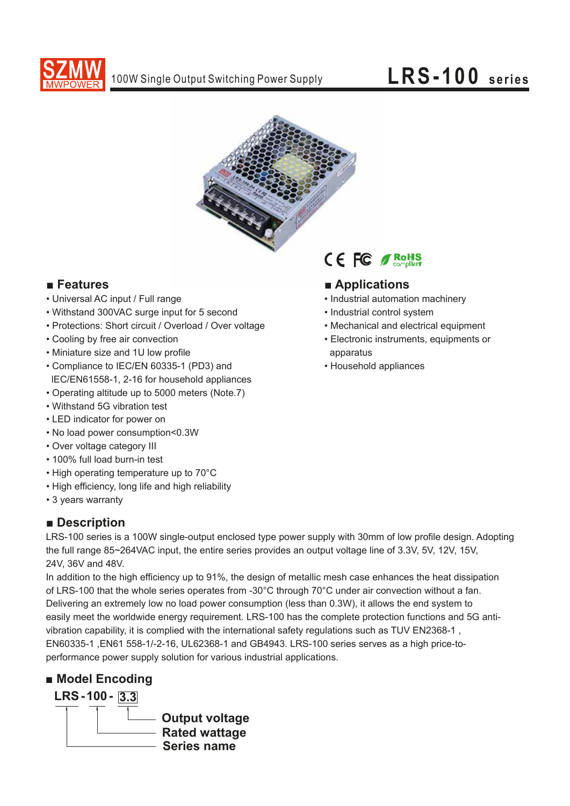



## **■ Features**

- Universal AC input / Full range
- Withstand 300VAC surge input for 5 second
- Protections: Short circuit / Overload / Over voltage
- Cooling by free air convection
- Miniature size and 1U low profile
- Compliance to IEC/EN 60335-1 (PD3) and lEC/EN61558-1, 2-16 for household appliances
- Operating altitude up to 5000 meters (Note.7)
- Withstand 5G vibration test
- LED indicator for power on
- No load power consumption<0.3W
- Over voltage category III
- 100% full load burn-in test
- High operating temperature up to 70°C
- High efficiency, long life and high reliability
- 3 years warranty

### **■ Description**

LRS-100 series is a 100W single-output enclosed type power supply with 30mm of low profile design. Adopting the full range 85~264VAC input, the entire series provides an output voltage line of 3.3V, 5V, 12V, 15V, 24V, 36V and 48V.

In addition to the high efficiency up to 91%, the design of metallic mesh case enhances the heat dissipation of LRS-100 that the whole series operates from -30°C through 70°C under air convection without a fan. Delivering an extremely low no load power consumption (less than 0.3W), it allows the end system to easily meet the worldwide energy requirement. LRS-100 has the complete protection functions and 5G antivibration capability, it is complied with the international safety regulations such as TUV EN2368-1 , EN60335-1 ,EN61 558-1/-2-16, UL62368-1 and GB4943. LRS-100 series serves as a high price-toperformance power supply solution for various industrial applications.

## **■ Model Encoding**





### **■ Applications**

- Industrial automation machinery
- Industrial control system
- Mechanical and electrical equipment
- Electronic instruments, equipments or apparatus
- Household appliances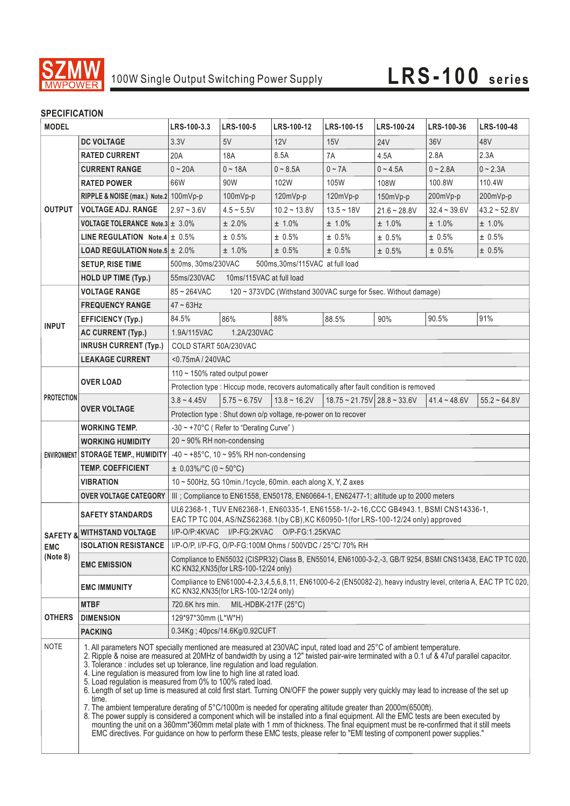

# 100W Single Output Switching Power Supply **LRS-100** series

#### **SPECIFICATION**

| <b>MODEL</b>                       |                                                       | LRS-100-3.3                                                                                                                                                                                                                                                                                                                                                                                                                                                                                                                                                                                                                                                                                                                                                                                                                                                                                                                                                                                                                                                                                                                                                             | LRS-100-5                                                                              | LRS-100-12     | LRS-100-15                                  | LRS-100-24     | <b>LRS-100-36</b> | LRS-100-48        |
|------------------------------------|-------------------------------------------------------|-------------------------------------------------------------------------------------------------------------------------------------------------------------------------------------------------------------------------------------------------------------------------------------------------------------------------------------------------------------------------------------------------------------------------------------------------------------------------------------------------------------------------------------------------------------------------------------------------------------------------------------------------------------------------------------------------------------------------------------------------------------------------------------------------------------------------------------------------------------------------------------------------------------------------------------------------------------------------------------------------------------------------------------------------------------------------------------------------------------------------------------------------------------------------|----------------------------------------------------------------------------------------|----------------|---------------------------------------------|----------------|-------------------|-------------------|
|                                    | <b>DC VOLTAGE</b>                                     | 3.3V                                                                                                                                                                                                                                                                                                                                                                                                                                                                                                                                                                                                                                                                                                                                                                                                                                                                                                                                                                                                                                                                                                                                                                    | 5V                                                                                     | 12V            | 15V                                         | <b>24V</b>     | 36 <sub>V</sub>   | 48V               |
| <b>OUTPUT</b>                      | <b>RATED CURRENT</b>                                  | 20A                                                                                                                                                                                                                                                                                                                                                                                                                                                                                                                                                                                                                                                                                                                                                                                                                                                                                                                                                                                                                                                                                                                                                                     | 18A                                                                                    | 8.5A           | 7A                                          | 4.5A           | 2.8A              | 2.3A              |
|                                    | <b>CURRENT RANGE</b>                                  | $0 - 20A$                                                                                                                                                                                                                                                                                                                                                                                                                                                                                                                                                                                                                                                                                                                                                                                                                                                                                                                                                                                                                                                                                                                                                               | $0 - 18A$                                                                              | $0 - 8.5A$     | $0 - 7A$                                    | $0 - 4.5A$     | $0 - 2.8A$        | $0 - 2.3A$        |
|                                    | <b>RATED POWER</b>                                    | 66W                                                                                                                                                                                                                                                                                                                                                                                                                                                                                                                                                                                                                                                                                                                                                                                                                                                                                                                                                                                                                                                                                                                                                                     | 90W                                                                                    | 102W           | 105W                                        | 108W           | 100.8W            | 110.4W            |
|                                    | RIPPLE & NOISE (max.) Note.2 100mVp-p                 |                                                                                                                                                                                                                                                                                                                                                                                                                                                                                                                                                                                                                                                                                                                                                                                                                                                                                                                                                                                                                                                                                                                                                                         | $100mVp-p$                                                                             | $120mVp-p$     | $120mVp-p$                                  | 150mVp-p       | 200mVp-p          | 200mVp-p          |
|                                    | <b>VOLTAGE ADJ. RANGE</b>                             | $2.97 - 3.6V$                                                                                                                                                                                                                                                                                                                                                                                                                                                                                                                                                                                                                                                                                                                                                                                                                                                                                                                                                                                                                                                                                                                                                           | $4.5 - 5.5V$                                                                           | $10.2 - 13.8V$ | $13.5 - 18V$                                | $21.6 - 28.8V$ | $32.4 - 39.6V$    | $43.2 \div 52.8V$ |
|                                    | <b>VOLTAGE TOLERANCE Note.3 <math>\pm</math> 3.0%</b> |                                                                                                                                                                                                                                                                                                                                                                                                                                                                                                                                                                                                                                                                                                                                                                                                                                                                                                                                                                                                                                                                                                                                                                         | ± 2.0%                                                                                 | ± 1.0%         | ± 1.0%                                      | ± 1.0%         | ± 1.0%            | ± 1.0%            |
|                                    | <b>LINE REGULATION</b> Note.4 $\pm$ 0.5%              |                                                                                                                                                                                                                                                                                                                                                                                                                                                                                                                                                                                                                                                                                                                                                                                                                                                                                                                                                                                                                                                                                                                                                                         | ± 0.5%                                                                                 | ± 0.5%         | ± 0.5%                                      | ± 0.5%         | ± 0.5%            | ± 0.5%            |
|                                    | <b>LOAD REGULATION Note.5 <math>\pm</math> 2.0%</b>   |                                                                                                                                                                                                                                                                                                                                                                                                                                                                                                                                                                                                                                                                                                                                                                                                                                                                                                                                                                                                                                                                                                                                                                         | ± 1.0%                                                                                 | ± 0.5%         | ± 0.5%                                      | ± 0.5%         | ± 0.5%            | $± 0.5\%$         |
|                                    | <b>SETUP, RISE TIME</b>                               | 500ms, 30ms/230VAC<br>500ms, 30ms/115VAC at full load                                                                                                                                                                                                                                                                                                                                                                                                                                                                                                                                                                                                                                                                                                                                                                                                                                                                                                                                                                                                                                                                                                                   |                                                                                        |                |                                             |                |                   |                   |
|                                    | <b>HOLD UP TIME (Typ.)</b>                            | 55ms/230VAC<br>10ms/115VAC at full load                                                                                                                                                                                                                                                                                                                                                                                                                                                                                                                                                                                                                                                                                                                                                                                                                                                                                                                                                                                                                                                                                                                                 |                                                                                        |                |                                             |                |                   |                   |
| <b>INPUT</b>                       | <b>VOLTAGE RANGE</b>                                  | $85 - 264$ VAC<br>120 ~ 373VDC (Withstand 300VAC surge for 5sec. Without damage)                                                                                                                                                                                                                                                                                                                                                                                                                                                                                                                                                                                                                                                                                                                                                                                                                                                                                                                                                                                                                                                                                        |                                                                                        |                |                                             |                |                   |                   |
|                                    | <b>FREQUENCY RANGE</b>                                | $47 - 63$ Hz                                                                                                                                                                                                                                                                                                                                                                                                                                                                                                                                                                                                                                                                                                                                                                                                                                                                                                                                                                                                                                                                                                                                                            |                                                                                        |                |                                             |                |                   |                   |
|                                    | <b>EFFICIENCY (Typ.)</b>                              | 84.5%                                                                                                                                                                                                                                                                                                                                                                                                                                                                                                                                                                                                                                                                                                                                                                                                                                                                                                                                                                                                                                                                                                                                                                   | 86%                                                                                    | 88%            | 88.5%                                       | 90%            | 90.5%             | 91%               |
|                                    | <b>AC CURRENT (Typ.)</b>                              | 1.9A/115VAC<br>1.2A/230VAC                                                                                                                                                                                                                                                                                                                                                                                                                                                                                                                                                                                                                                                                                                                                                                                                                                                                                                                                                                                                                                                                                                                                              |                                                                                        |                |                                             |                |                   |                   |
|                                    | <b>INRUSH CURRENT (Typ.)</b>                          | COLD START 50A/230VAC                                                                                                                                                                                                                                                                                                                                                                                                                                                                                                                                                                                                                                                                                                                                                                                                                                                                                                                                                                                                                                                                                                                                                   |                                                                                        |                |                                             |                |                   |                   |
|                                    | <b>LEAKAGE CURRENT</b>                                | <0.75mA / 240VAC                                                                                                                                                                                                                                                                                                                                                                                                                                                                                                                                                                                                                                                                                                                                                                                                                                                                                                                                                                                                                                                                                                                                                        |                                                                                        |                |                                             |                |                   |                   |
| <b>PROTECTION</b>                  | <b>OVER LOAD</b>                                      | 110 ~ 150% rated output power                                                                                                                                                                                                                                                                                                                                                                                                                                                                                                                                                                                                                                                                                                                                                                                                                                                                                                                                                                                                                                                                                                                                           |                                                                                        |                |                                             |                |                   |                   |
|                                    |                                                       |                                                                                                                                                                                                                                                                                                                                                                                                                                                                                                                                                                                                                                                                                                                                                                                                                                                                                                                                                                                                                                                                                                                                                                         | Protection type : Hiccup mode, recovers automatically after fault condition is removed |                |                                             |                |                   |                   |
|                                    | <b>OVER VOLTAGE</b>                                   | $3.8 - 4.45V$                                                                                                                                                                                                                                                                                                                                                                                                                                                                                                                                                                                                                                                                                                                                                                                                                                                                                                                                                                                                                                                                                                                                                           | $5.75 \sim 6.75V$                                                                      | $13.8 - 16.2V$ | $18.75 \approx 21.75V$ 28.8 $\approx 33.6V$ |                | $41.4 - 48.6V$    | $55.2 \sim 64.8V$ |
|                                    |                                                       | Protection type : Shut down o/p voltage, re-power on to recover                                                                                                                                                                                                                                                                                                                                                                                                                                                                                                                                                                                                                                                                                                                                                                                                                                                                                                                                                                                                                                                                                                         |                                                                                        |                |                                             |                |                   |                   |
|                                    | <b>WORKING TEMP.</b>                                  | $-30 \sim +70^{\circ}$ C (Refer to "Derating Curve")                                                                                                                                                                                                                                                                                                                                                                                                                                                                                                                                                                                                                                                                                                                                                                                                                                                                                                                                                                                                                                                                                                                    |                                                                                        |                |                                             |                |                   |                   |
|                                    | <b>WORKING HUMIDITY</b>                               | $20 \sim 90\%$ RH non-condensing                                                                                                                                                                                                                                                                                                                                                                                                                                                                                                                                                                                                                                                                                                                                                                                                                                                                                                                                                                                                                                                                                                                                        |                                                                                        |                |                                             |                |                   |                   |
|                                    | ENVIRONMENT STORAGE TEMP., HUMIDITY                   | $-40 \sim +85^{\circ}$ C, 10 ~ 95% RH non-condensing                                                                                                                                                                                                                                                                                                                                                                                                                                                                                                                                                                                                                                                                                                                                                                                                                                                                                                                                                                                                                                                                                                                    |                                                                                        |                |                                             |                |                   |                   |
|                                    | <b>TEMP. COEFFICIENT</b>                              | $\pm$ 0.03%/°C (0 ~ 50°C)                                                                                                                                                                                                                                                                                                                                                                                                                                                                                                                                                                                                                                                                                                                                                                                                                                                                                                                                                                                                                                                                                                                                               |                                                                                        |                |                                             |                |                   |                   |
|                                    | VIBRATION                                             | $10 \sim 500$ Hz, 5G 10min./1cycle, 60min. each along X, Y, Z axes                                                                                                                                                                                                                                                                                                                                                                                                                                                                                                                                                                                                                                                                                                                                                                                                                                                                                                                                                                                                                                                                                                      |                                                                                        |                |                                             |                |                   |                   |
|                                    | <b>OVER VOLTAGE CATEGORY</b>                          | III ; Compliance to EN61558, EN50178, EN60664-1, EN62477-1; altitude up to 2000 meters                                                                                                                                                                                                                                                                                                                                                                                                                                                                                                                                                                                                                                                                                                                                                                                                                                                                                                                                                                                                                                                                                  |                                                                                        |                |                                             |                |                   |                   |
|                                    | <b>SAFETY STANDARDS</b>                               | UL6 2368-1, TUV EN62368-1, EN60335-1, EN61558-1/-2-16, CCC GB4943.1, BSMI CNS14336-1,<br>EAC TP TC 004, AS/NZS62368.1(by CB), KC K60950-1(for LRS-100-12/24 only) approved                                                                                                                                                                                                                                                                                                                                                                                                                                                                                                                                                                                                                                                                                                                                                                                                                                                                                                                                                                                              |                                                                                        |                |                                             |                |                   |                   |
| SAFETY &<br><b>EMC</b><br>(Note 8) | <b>WITHSTAND VOLTAGE</b>                              | I/P-O/P:4KVAC I/P-FG:2KVAC O/P-FG:1.25KVAC                                                                                                                                                                                                                                                                                                                                                                                                                                                                                                                                                                                                                                                                                                                                                                                                                                                                                                                                                                                                                                                                                                                              |                                                                                        |                |                                             |                |                   |                   |
|                                    |                                                       | ISOLATION RESISTANCE   I/P-O/P, I/P-FG, O/P-FG:100M Ohms / 500VDC / 25°C/ 70% RH                                                                                                                                                                                                                                                                                                                                                                                                                                                                                                                                                                                                                                                                                                                                                                                                                                                                                                                                                                                                                                                                                        |                                                                                        |                |                                             |                |                   |                   |
|                                    | <b>EMC EMISSION</b>                                   | Compliance to EN55032 (CISPR32) Class B, EN55014, EN61000-3-2,-3, GB/T 9254, BSMI CNS13438, EAC TP TC 020,<br>KC KN32, KN35(for LRS-100-12/24 only)                                                                                                                                                                                                                                                                                                                                                                                                                                                                                                                                                                                                                                                                                                                                                                                                                                                                                                                                                                                                                     |                                                                                        |                |                                             |                |                   |                   |
|                                    | <b>EMC IMMUNITY</b>                                   | Compliance to EN61000-4-2,3,4,5,6,8,11, EN61000-6-2 (EN50082-2), heavy industry level, criteria A, EAC TP TC 020,<br>KC KN32, KN35 (for LRS-100-12/24 only)                                                                                                                                                                                                                                                                                                                                                                                                                                                                                                                                                                                                                                                                                                                                                                                                                                                                                                                                                                                                             |                                                                                        |                |                                             |                |                   |                   |
| <b>OTHERS</b>                      | <b>MTBF</b>                                           | 720.6K hrs min.                                                                                                                                                                                                                                                                                                                                                                                                                                                                                                                                                                                                                                                                                                                                                                                                                                                                                                                                                                                                                                                                                                                                                         | MIL-HDBK-217F (25°C)                                                                   |                |                                             |                |                   |                   |
|                                    | <b>DIMENSION</b>                                      | 129*97*30mm (L*W*H)                                                                                                                                                                                                                                                                                                                                                                                                                                                                                                                                                                                                                                                                                                                                                                                                                                                                                                                                                                                                                                                                                                                                                     |                                                                                        |                |                                             |                |                   |                   |
|                                    | <b>PACKING</b>                                        |                                                                                                                                                                                                                                                                                                                                                                                                                                                                                                                                                                                                                                                                                                                                                                                                                                                                                                                                                                                                                                                                                                                                                                         | 0.34Kg; 40pcs/14.6Kg/0.92CUFT                                                          |                |                                             |                |                   |                   |
| <b>NOTE</b>                        | time.                                                 | 1. All parameters NOT specially mentioned are measured at 230VAC input, rated load and 25°C of ambient temperature.<br>2. Ripple & noise are measured at 20MHz of bandwidth by using a 12" twisted pair-wire terminated with a 0.1 uf & 47uf parallel capacitor.<br>3. Tolerance : includes set up tolerance, line regulation and load regulation.<br>4. Line regulation is measured from low line to high line at rated load.<br>5. Load regulation is measured from 0% to 100% rated load.<br>6. Length of set up time is measured at cold first start. Turning ON/OFF the power supply very quickly may lead to increase of the set up<br>7. The ambient temperature derating of 5°C/1000m is needed for operating altitude greater than 2000m(6500ft).<br>8. The power supply is considered a component which will be installed into a final equipment. All the EMC tests are been executed by<br>mounting the unit on a 360mm*360mm metal plate with 1 mm of thickness. The final equipment must be re-confirmed that it still meets<br>EMC directives. For guidance on how to perform these EMC tests, please refer to "EMI testing of component power supplies." |                                                                                        |                |                                             |                |                   |                   |